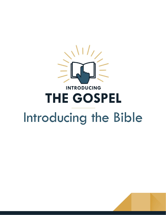

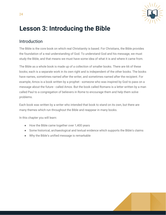

# **Lesson 3: Introducing the Bible**

# Introduction

The Bible is the core book on which real Christianity is based. For Christians, the Bible provides the foundation of a real understanding of God. To understand God and his message, we must study the Bible, and that means we must have some idea of what it is and where it came from.

The Bible as a whole book is made up of a collection of smaller books. There are 66 of these books; each is a separate work in its own right and is independent of the other books. The books have names, sometimes named after the writer, and sometimes named after the recipient. For example, Amos is a book written by a prophet - someone who was inspired by God to pass on a message about the future - called Amos. But the book called Romans is a letter written by a man called Paul to a congregation of believers in Rome to encourage them and help them solve problems.

Each book was written by a writer who intended that book to stand on its own, but there are many themes which run throughout the Bible and reappear in many books.

In this chapter you will learn:

- How the Bible came together over 1,400 years
- Some historical, archaeological and textual evidence which supports the Bible's claims
- Why the Bible's unified message is remarkable

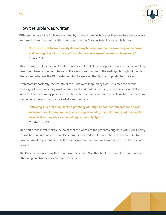

# How the Bible was written

Different books of the Bible were written by different people, however these writers have several features in common. Look at this passage from the Apostle Peter in one of his letters:

**"For we did not follow cleverly devised myths when we made known to you the power and coming of our Lord Jesus Christ, but we were eyewitnesses of his majesty."** 2 Peter 1:16

This passage makes the point that the writers of the Bible were eyewitnesses of the events they describe. There is great emphasis on the eyewitness nature of the writings throughout the New Testament, whereas the Old Testament books were written by the prophets themselves.

Even more importantly, the writers of the Bible were inspired by God. This means that the message of the books they wrote is from God, and that the wording of the Bible is what God intends. There are many places where the writers of the Bible made this claim; here is one from that letter of Peter's that we looked at a moment ago:

**"Knowing this first of all, that no prophecy of Scripture comes from someone's own interpretation. For no prophecy was ever produced by the will of man, but men spoke from God as they were carried along by the Holy Spirit."** 2 Peter 1:20-21

This part of the letter makes the point that the words of the prophets originate with God. Shortly, we will have a brief look at some Bible prophecies and what makes them so special. But for now, the most important point is that every word of the Bible was written by a prophet inspired by God.

The Bible is the only book that can make this claim. No other book, not even the scriptures of other religious traditions, can make this claim.

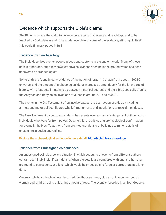

# Evidence which supports the Bible's claims

The Bible can make the claim to be an accurate record of events and teachings, and to be inspired by God. Here, we will give a brief overview of some of the evidence, although in itself this could fill many pages in full!

## **Evidence from archaeology**

The Bible describes events, people, places and customs in the ancient world. Many of these have left no trace, but a few have left physical evidence behind in the ground which has been uncovered by archaeologists.

Some of this is found in early evidence of the nation of Israel in Canaan from about 1,200BC onwards, and the amount of archaeological detail increases tremendously for the later parts of history, with great detail matching up between historical sources and the Bible especially around the Assyrian and Babylonian invasions of Judah in around 700 and 600BC.

The events in the Old Testament often involve battles, the destruction of cities by invading armies, and major political figures who left monuments and inscriptions to record their deeds.

The New Testament by comparison describes events over a much shorter period of time, and of individuals who were far from power. Despite this, there is strong archaeological confirmation for events in the New Testament, from architectural details of buildings to minor details of ancient life in Judea and Galilee.

## **Explore the archaeological evidence in more detail: [bit.ly/biblethinkarchaeology](https://bit.ly/biblethinkarchaeology)**

## **Evidence from undesigned coincidences**

An undesigned coincidence is a situation in which accounts of events from different authors contain seemingly insignificant details. When the details are compared with one another, they are found to correspond, at a level which would be impossible to forge or corroborate at a later date.

One example is a miracle where Jesus fed five thousand men, plus an unknown number of women and children using only a tiny amount of food. The event is recorded in all four Gospels,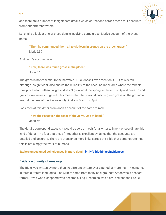

and there are a number of insignificant details which correspond across these four accounts from four different writers.

Let's take a look at one of these details involving some grass. Mark's account of the event notes:

**"Then he commanded them all to sit down in groups on the green grass."** Mark 6:39

And John's account says:

27

**"Now, there was much grass in the place."** John 6:10

The grass is not essential to the narrative - Luke doesn't even mention it. But this detail, although insignificant, also shows the reliability of the account. In the area where the miracle took place near Bethsaida, grass doesn't grow until the spring; at the end of April it dries up and goes brown, unless irrigated. This means that there would only be green grass on the ground at around the time of the Passover - typically in March or April.

Look then at this detail from John's account of the same miracle:

**"Now the Passover, the feast of the Jews, was at hand."** John 6:4

The details correspond exactly. It would be very difficult for a writer to invent or coordinate this kind of detail. The fact that these fit together is excellent evidence that the accounts are detailed and accurate. There are thousands more links across the Bible that demonstrate that this is not simply the work of humans.

**Explore undesigned coincidences in more detail: [bit.ly/biblethinkcoincidences](https://bit.ly/biblethinkcoincidences)**

# **Evidence of unity of message**

The Bible was written by more than 40 different writers over a period of more than 14 centuries in three different languages. The writers came from many backgrounds: Amos was a peasant farmer, David was a shepherd who became a king, Nehemiah was a civil servant and Ezekiel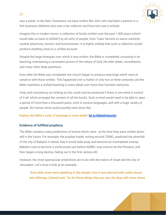

was a priest. In the New Testament, we have writers like John who had been a partner in a fish business, Matthew who was a tax collector and Paul who was a scholar.

Imagine this in modern terms: a collection of books written over the past 1,400 years (which would take us back to 600AD!) by all sorts of people, from Tudor farmers to saxon warlords, nuclear physicists, doctors and businessmen. It is highly unlikely that such a collection would produce anything close to a unified account.

Despite the large timespan over which it was written, the Bible is completely unvarying in its teaching, maintaining a consistent picture of the nature of God, life after death, monotheism, and many other deep questions.

Even after the Bible was completed, the church began to produce teachings which were at variance with those written. This happened over a matter of only two or three centuries; yet the Bible maintains a unified teaching in every detail over more than fourteen centuries.

Unity and consistency as striking as this could only be produced if there is one mind in control of it all, which arranged the content of all the books. Such a mind would need to be able to span a period of more than a thousand years, work in several languages, and with a huge variety of people. No human mind could possibly have done this.

## **Explore the Bible's unity of message in more detail: [bit.ly/biblethinkunity](https://bit.ly/biblethinkunity)**

## **Evidence of fulfilled prophecy**

28

The Bible contains many predictions of events which were - at the time they were written down still in the future. For example, the prophet Isaiah, writing around 700BC, predicted the downfall of the city of Babylon in detail; that it would fade away and become an uninhabited swamp. Babylon rose to become a world power just before 600BC, was overrun by the Persians, and then began a long decline, fading out in the first century AD.

However, the most spectacular predictions are to do with the nation of Israel and the city of Jerusalem. Let's have a look at an example:

**"And while some were speaking of the temple, how it was adorned with noble stones and offerings, [Jesus] said, "As for these things that you see, the days will come where**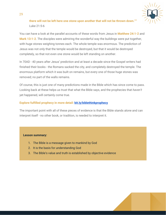

**there will not be left here one stone upon another that will not be thrown down.""** Luke 21:5-6

You can have a look at the parallel accounts of these words from Jesus in **Matthew 24:1-2** and **Mark 13:1-2**. The disciples were admiring the wonderful way the buildings were put together, with huge stones weighing tonnes each. The whole temple was enormous. The prediction of Jesus was not only that the temple would be destroyed, but that it would be destroyed completely, so that not even one stone would be left standing on another.

In 70AD - 40 years after Jesus' prediction and at least a decade since the Gospel writers had finished their books - the Romans sacked the city, and completely destroyed the temple. The enormous platform which it was built on remains, but every one of those huge stones was removed; no part of the walls remains.

Of course, this is just one of many predictions made in the Bible which has since come to pass. Looking back at these helps us trust that what the Bible says, and the prophecies that *haven't* yet happened, will certainly come true.

## **Explore fulfilled prophecy in more detail: [bit.ly/biblethinkprophecy](https://bit.ly/biblethinkprophecy)**

The important point with all of these pieces of evidence is that the Bible stands alone and can interpret itself - no other book, or tradition, is needed to interpret it.

#### **Lesson summary:**

- 1. The Bible is a message given to mankind by God
- 2. It is the basis for understanding God
- 3. The Bible's value and truth is established by objective evidence